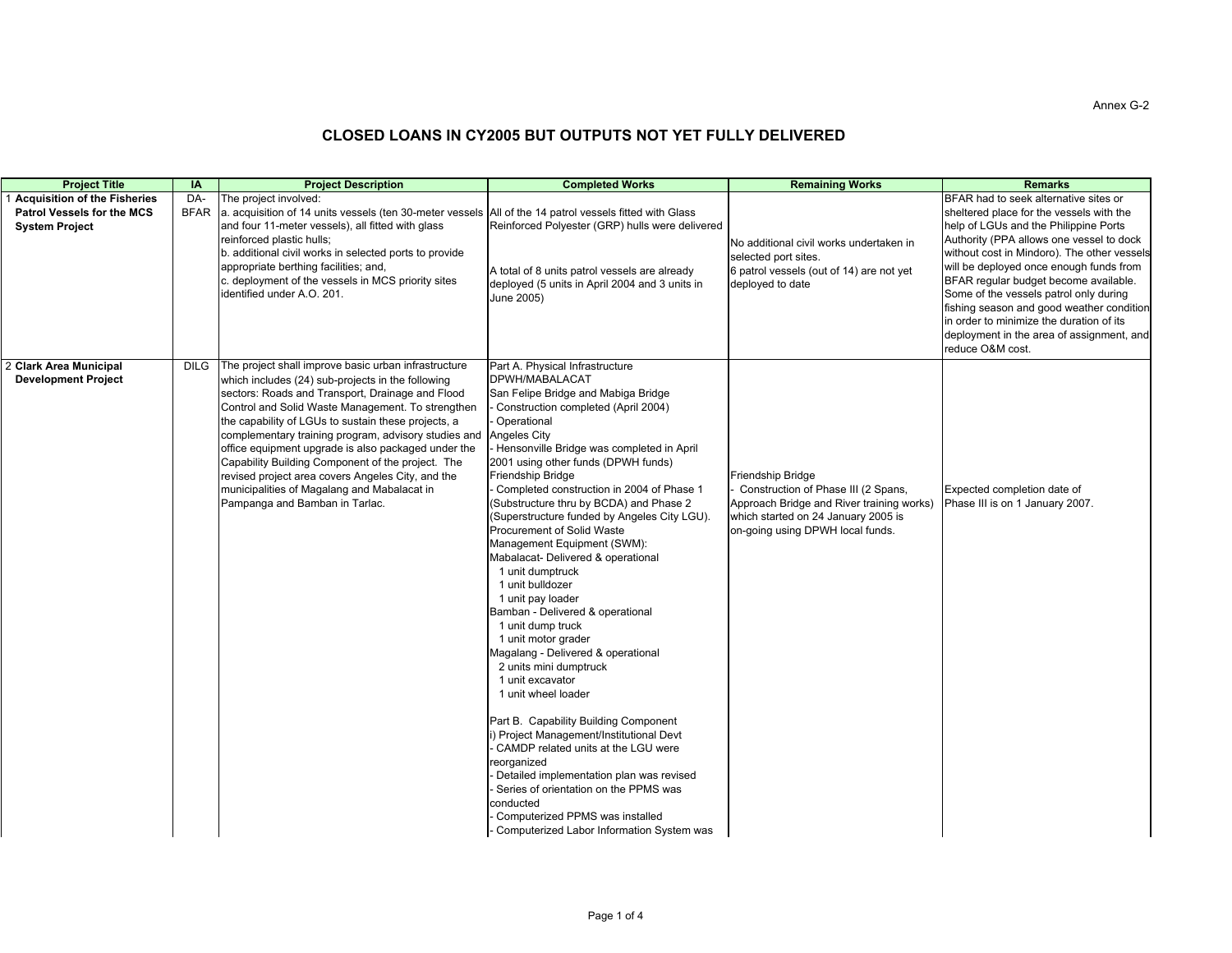| <b>Project Title</b>                                                                       | IA                 | <b>Project Description</b>                                                                                                                                                                                                                                                                                                                                                                                                                                                                                                                                                          | <b>Completed Works</b>                                                                                                                                                                                                                                                                                                                                                                                                                                                                                                                                                                                                                                                                                                                                                                                                                                                                                                                                                                                                                                                                                   | <b>Remaining Works</b>                                                                                                                                                           | <b>Remarks</b>                                                                                                                                                                                                                                                                                                                                                                                                                                                                                                |
|--------------------------------------------------------------------------------------------|--------------------|-------------------------------------------------------------------------------------------------------------------------------------------------------------------------------------------------------------------------------------------------------------------------------------------------------------------------------------------------------------------------------------------------------------------------------------------------------------------------------------------------------------------------------------------------------------------------------------|----------------------------------------------------------------------------------------------------------------------------------------------------------------------------------------------------------------------------------------------------------------------------------------------------------------------------------------------------------------------------------------------------------------------------------------------------------------------------------------------------------------------------------------------------------------------------------------------------------------------------------------------------------------------------------------------------------------------------------------------------------------------------------------------------------------------------------------------------------------------------------------------------------------------------------------------------------------------------------------------------------------------------------------------------------------------------------------------------------|----------------------------------------------------------------------------------------------------------------------------------------------------------------------------------|---------------------------------------------------------------------------------------------------------------------------------------------------------------------------------------------------------------------------------------------------------------------------------------------------------------------------------------------------------------------------------------------------------------------------------------------------------------------------------------------------------------|
| Acquisition of the Fisheries<br><b>Patrol Vessels for the MCS</b><br><b>System Project</b> | DA-<br><b>BFAR</b> | The project involved:<br>a. acquisition of 14 units vessels (ten 30-meter vessels All of the 14 patrol vessels fitted with Glass<br>and four 11-meter vessels), all fitted with glass<br>reinforced plastic hulls;<br>b. additional civil works in selected ports to provide<br>appropriate berthing facilities; and,<br>c. deployment of the vessels in MCS priority sites<br>identified under A.O. 201.                                                                                                                                                                           | Reinforced Polyester (GRP) hulls were delivered<br>A total of 8 units patrol vessels are already<br>deployed (5 units in April 2004 and 3 units in<br>June 2005)                                                                                                                                                                                                                                                                                                                                                                                                                                                                                                                                                                                                                                                                                                                                                                                                                                                                                                                                         | No additional civil works undertaken in<br>selected port sites.<br>6 patrol vessels (out of 14) are not yet<br>deployed to date                                                  | BFAR had to seek alternative sites or<br>sheltered place for the vessels with the<br>help of LGUs and the Philippine Ports<br>Authority (PPA allows one vessel to dock<br>without cost in Mindoro). The other vessels<br>will be deployed once enough funds from<br>BFAR regular budget become available.<br>Some of the vessels patrol only during<br>fishing season and good weather condition<br>in order to minimize the duration of its<br>deployment in the area of assignment, and<br>reduce O&M cost. |
| 2 Clark Area Municipal<br><b>Development Project</b>                                       | <b>DILG</b>        | The project shall improve basic urban infrastructure<br>which includes (24) sub-projects in the following<br>sectors: Roads and Transport, Drainage and Flood<br>Control and Solid Waste Management. To strengthen<br>the capability of LGUs to sustain these projects, a<br>complementary training program, advisory studies and<br>office equipment upgrade is also packaged under the<br>Capability Building Component of the project. The<br>revised project area covers Angeles City, and the<br>municipalities of Magalang and Mabalacat in<br>Pampanga and Bamban in Tarlac. | Part A. Physical Infrastructure<br>DPWH/MABALACAT<br>San Felipe Bridge and Mabiga Bridge<br>Construction completed (April 2004)<br>Operational<br>Angeles City<br>- Hensonville Bridge was completed in April<br>2001 using other funds (DPWH funds)<br>Friendship Bridge<br>Completed construction in 2004 of Phase 1<br>(Substructure thru by BCDA) and Phase 2<br>(Superstructure funded by Angeles City LGU).<br>Procurement of Solid Waste<br>Management Equipment (SWM):<br>Mabalacat- Delivered & operational<br>1 unit dumptruck<br>1 unit bulldozer<br>1 unit pay loader<br>Bamban - Delivered & operational<br>1 unit dump truck<br>1 unit motor grader<br>Magalang - Delivered & operational<br>2 units mini dumptruck<br>1 unit excavator<br>1 unit wheel loader<br>Part B. Capability Building Component<br>) Project Management/Institutional Devt<br>CAMDP related units at the LGU were<br>reorganized<br>Detailed implementation plan was revised<br>Series of orientation on the PPMS was<br>conducted<br>Computerized PPMS was installed<br>Computerized Labor Information System was | Friendship Bridge<br>Construction of Phase III (2 Spans,<br>Approach Bridge and River training works)<br>which started on 24 January 2005 is<br>on-going using DPWH local funds. | Expected completion date of<br>Phase III is on 1 January 2007.                                                                                                                                                                                                                                                                                                                                                                                                                                                |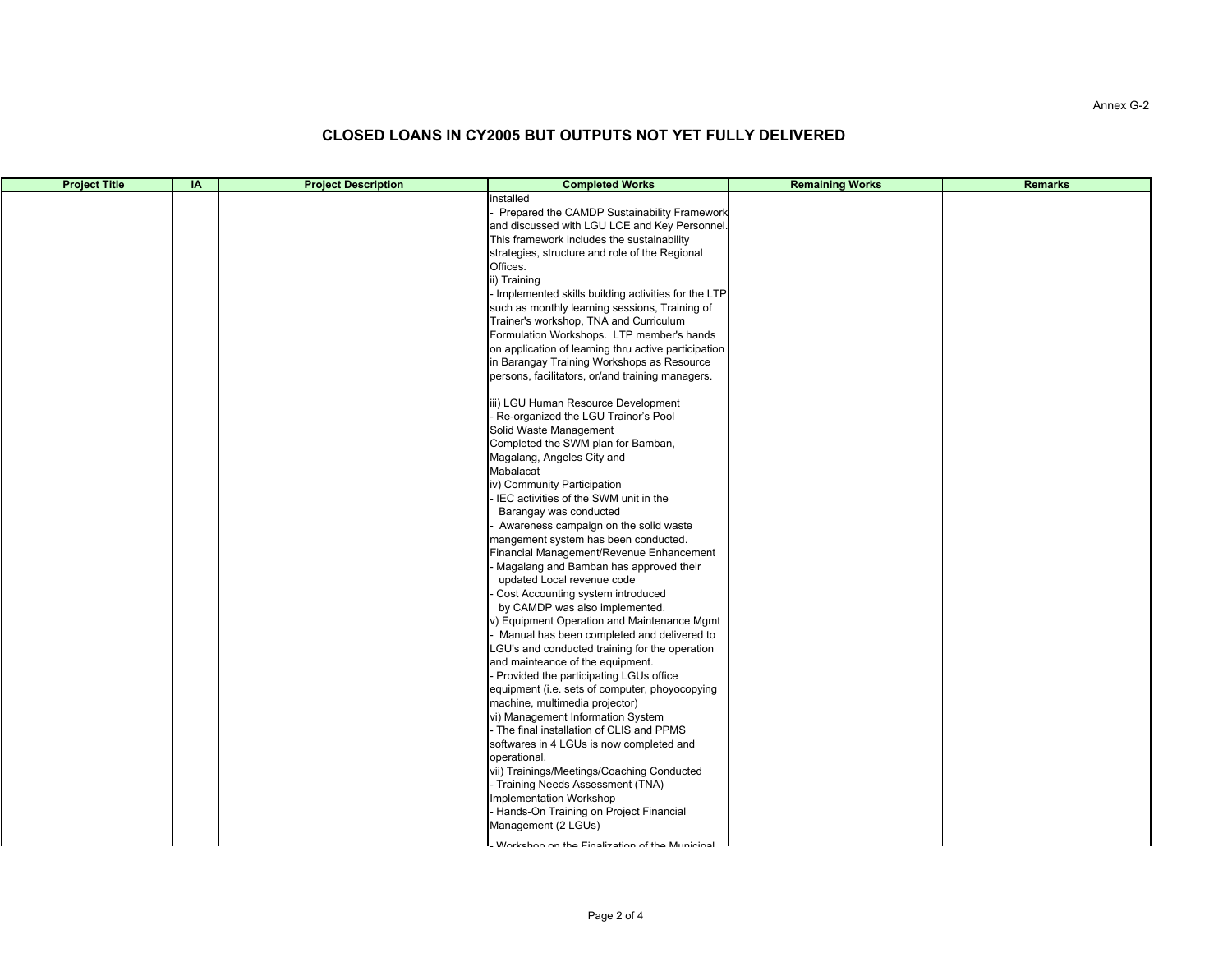#### Annex G-2

| <b>Project Title</b> | IA | <b>Project Description</b> | <b>Completed Works</b>                                              | <b>Remaining Works</b> | <b>Remarks</b> |
|----------------------|----|----------------------------|---------------------------------------------------------------------|------------------------|----------------|
|                      |    |                            | installed                                                           |                        |                |
|                      |    |                            | Prepared the CAMDP Sustainability Framework                         |                        |                |
|                      |    |                            | and discussed with LGU LCE and Key Personnel.                       |                        |                |
|                      |    |                            | This framework includes the sustainability                          |                        |                |
|                      |    |                            | strategies, structure and role of the Regional                      |                        |                |
|                      |    |                            | Offices.                                                            |                        |                |
|                      |    |                            | ii) Training                                                        |                        |                |
|                      |    |                            | Implemented skills building activities for the LTP                  |                        |                |
|                      |    |                            | such as monthly learning sessions, Training of                      |                        |                |
|                      |    |                            | Trainer's workshop, TNA and Curriculum                              |                        |                |
|                      |    |                            | Formulation Workshops. LTP member's hands                           |                        |                |
|                      |    |                            | on application of learning thru active participation                |                        |                |
|                      |    |                            | in Barangay Training Workshops as Resource                          |                        |                |
|                      |    |                            | persons, facilitators, or/and training managers.                    |                        |                |
|                      |    |                            | iii) LGU Human Resource Development                                 |                        |                |
|                      |    |                            | Re-organized the LGU Trainor's Pool                                 |                        |                |
|                      |    |                            | Solid Waste Management                                              |                        |                |
|                      |    |                            | Completed the SWM plan for Bamban,                                  |                        |                |
|                      |    |                            | Magalang, Angeles City and                                          |                        |                |
|                      |    |                            | Mabalacat                                                           |                        |                |
|                      |    |                            | iv) Community Participation                                         |                        |                |
|                      |    |                            | IEC activities of the SWM unit in the                               |                        |                |
|                      |    |                            | Barangay was conducted                                              |                        |                |
|                      |    |                            | Awareness campaign on the solid waste                               |                        |                |
|                      |    |                            | mangement system has been conducted.                                |                        |                |
|                      |    |                            | Financial Management/Revenue Enhancement                            |                        |                |
|                      |    |                            | Magalang and Bamban has approved their                              |                        |                |
|                      |    |                            | updated Local revenue code                                          |                        |                |
|                      |    |                            | Cost Accounting system introduced                                   |                        |                |
|                      |    |                            | by CAMDP was also implemented.                                      |                        |                |
|                      |    |                            | v) Equipment Operation and Maintenance Mgmt                         |                        |                |
|                      |    |                            | Manual has been completed and delivered to                          |                        |                |
|                      |    |                            | LGU's and conducted training for the operation                      |                        |                |
|                      |    |                            | and mainteance of the equipment.                                    |                        |                |
|                      |    |                            | - Provided the participating LGUs office                            |                        |                |
|                      |    |                            | equipment (i.e. sets of computer, phoyocopying                      |                        |                |
|                      |    |                            | machine, multimedia projector)<br>vi) Management Information System |                        |                |
|                      |    |                            | The final installation of CLIS and PPMS                             |                        |                |
|                      |    |                            | softwares in 4 LGUs is now completed and                            |                        |                |
|                      |    |                            | operational.                                                        |                        |                |
|                      |    |                            | vii) Trainings/Meetings/Coaching Conducted                          |                        |                |
|                      |    |                            | - Training Needs Assessment (TNA)                                   |                        |                |
|                      |    |                            | Implementation Workshop                                             |                        |                |
|                      |    |                            | - Hands-On Training on Project Financial                            |                        |                |
|                      |    |                            | Management (2 LGUs)                                                 |                        |                |
|                      |    |                            |                                                                     |                        |                |
|                      |    |                            | . Workehon on the Finalization of the Municinal                     |                        |                |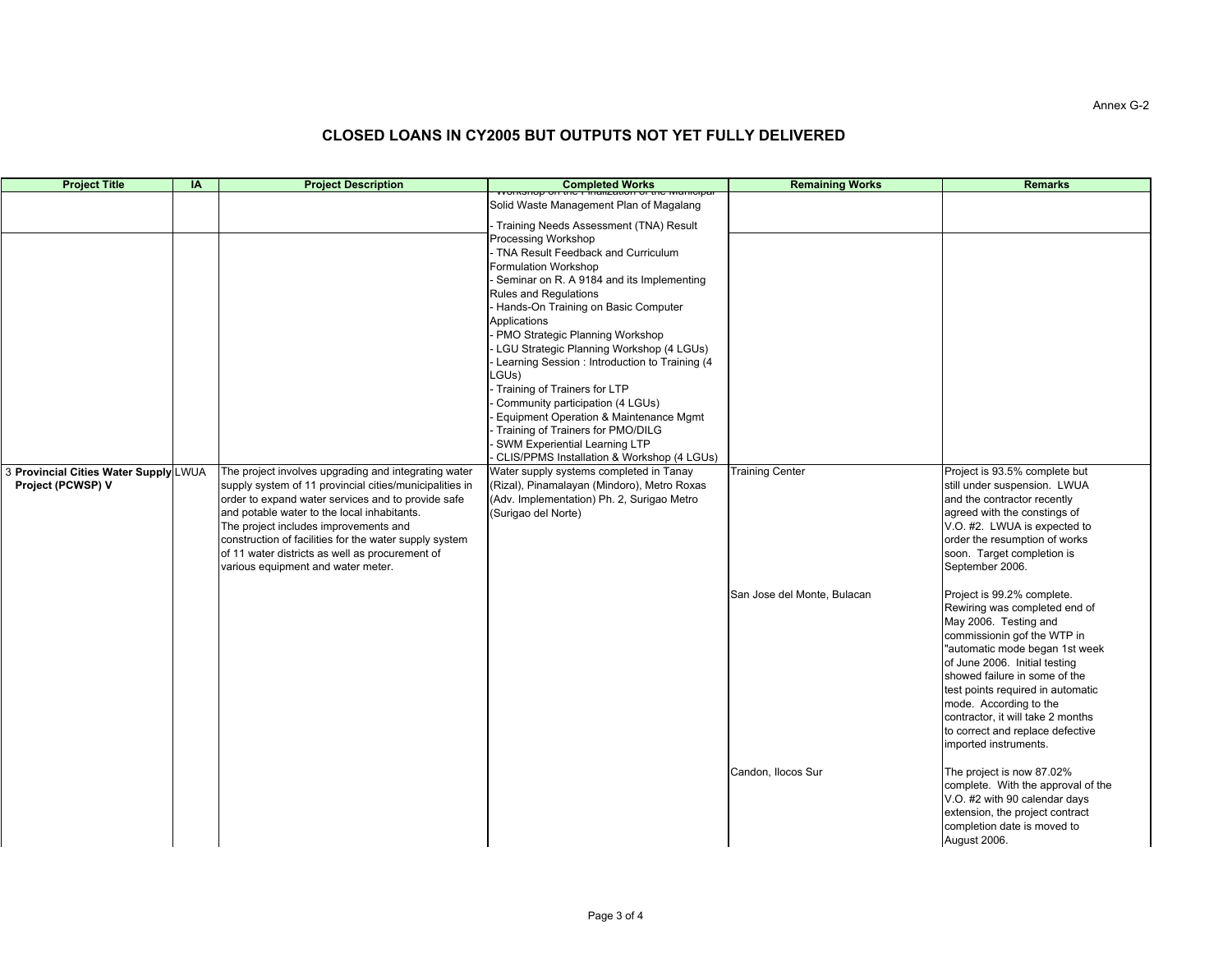| <b>Project Title</b>                  | IA | <b>Project Description</b>                                                                        | Completed Works                                                                               | <b>Remaining Works</b>      | <b>Remarks</b>                                                        |
|---------------------------------------|----|---------------------------------------------------------------------------------------------------|-----------------------------------------------------------------------------------------------|-----------------------------|-----------------------------------------------------------------------|
|                                       |    |                                                                                                   | Solid Waste Management Plan of Magalang                                                       |                             |                                                                       |
|                                       |    |                                                                                                   | Training Needs Assessment (TNA) Result                                                        |                             |                                                                       |
|                                       |    |                                                                                                   | Processing Workshop                                                                           |                             |                                                                       |
|                                       |    |                                                                                                   | TNA Result Feedback and Curriculum                                                            |                             |                                                                       |
|                                       |    |                                                                                                   | Formulation Workshop                                                                          |                             |                                                                       |
|                                       |    |                                                                                                   | - Seminar on R. A 9184 and its Implementing<br><b>Rules and Regulations</b>                   |                             |                                                                       |
|                                       |    |                                                                                                   | Hands-On Training on Basic Computer                                                           |                             |                                                                       |
|                                       |    |                                                                                                   | Applications                                                                                  |                             |                                                                       |
|                                       |    |                                                                                                   | - PMO Strategic Planning Workshop                                                             |                             |                                                                       |
|                                       |    |                                                                                                   | - LGU Strategic Planning Workshop (4 LGUs)<br>- Learning Session: Introduction to Training (4 |                             |                                                                       |
|                                       |    |                                                                                                   | LGUs)                                                                                         |                             |                                                                       |
|                                       |    |                                                                                                   | - Training of Trainers for LTP                                                                |                             |                                                                       |
|                                       |    |                                                                                                   | Community participation (4 LGUs)                                                              |                             |                                                                       |
|                                       |    |                                                                                                   | Equipment Operation & Maintenance Mgmt                                                        |                             |                                                                       |
|                                       |    |                                                                                                   | Training of Trainers for PMO/DILG<br>- SWM Experiential Learning LTP                          |                             |                                                                       |
|                                       |    |                                                                                                   | - CLIS/PPMS Installation & Workshop (4 LGUs)                                                  |                             |                                                                       |
| 3 Provincial Cities Water Supply LWUA |    | The project involves upgrading and integrating water                                              | Water supply systems completed in Tanay                                                       | <b>Training Center</b>      | Project is 93.5% complete but                                         |
| Project (PCWSP) V                     |    | supply system of 11 provincial cities/municipalities in                                           | (Rizal), Pinamalayan (Mindoro), Metro Roxas                                                   |                             | still under suspension. LWUA                                          |
|                                       |    | order to expand water services and to provide safe<br>and potable water to the local inhabitants. | (Adv. Implementation) Ph. 2, Surigao Metro<br>(Surigao del Norte)                             |                             | and the contractor recently<br>agreed with the constings of           |
|                                       |    | The project includes improvements and                                                             |                                                                                               |                             | V.O. #2. LWUA is expected to                                          |
|                                       |    | construction of facilities for the water supply system                                            |                                                                                               |                             | order the resumption of works                                         |
|                                       |    | of 11 water districts as well as procurement of                                                   |                                                                                               |                             | soon. Target completion is                                            |
|                                       |    | various equipment and water meter.                                                                |                                                                                               |                             | September 2006.                                                       |
|                                       |    |                                                                                                   |                                                                                               | San Jose del Monte, Bulacan | Project is 99.2% complete.                                            |
|                                       |    |                                                                                                   |                                                                                               |                             | Rewiring was completed end of                                         |
|                                       |    |                                                                                                   |                                                                                               |                             | May 2006. Testing and                                                 |
|                                       |    |                                                                                                   |                                                                                               |                             | commissionin gof the WTP in<br>"automatic mode began 1st week         |
|                                       |    |                                                                                                   |                                                                                               |                             | of June 2006. Initial testing                                         |
|                                       |    |                                                                                                   |                                                                                               |                             | showed failure in some of the                                         |
|                                       |    |                                                                                                   |                                                                                               |                             | test points required in automatic                                     |
|                                       |    |                                                                                                   |                                                                                               |                             | mode. According to the                                                |
|                                       |    |                                                                                                   |                                                                                               |                             | contractor, it will take 2 months<br>to correct and replace defective |
|                                       |    |                                                                                                   |                                                                                               |                             | imported instruments.                                                 |
|                                       |    |                                                                                                   |                                                                                               |                             | The project is now 87.02%                                             |
|                                       |    |                                                                                                   |                                                                                               | Candon, Ilocos Sur          | complete. With the approval of the                                    |
|                                       |    |                                                                                                   |                                                                                               |                             | V.O. #2 with 90 calendar days                                         |
|                                       |    |                                                                                                   |                                                                                               |                             | extension, the project contract                                       |
|                                       |    |                                                                                                   |                                                                                               |                             | completion date is moved to                                           |
|                                       |    |                                                                                                   |                                                                                               |                             | August 2006.                                                          |